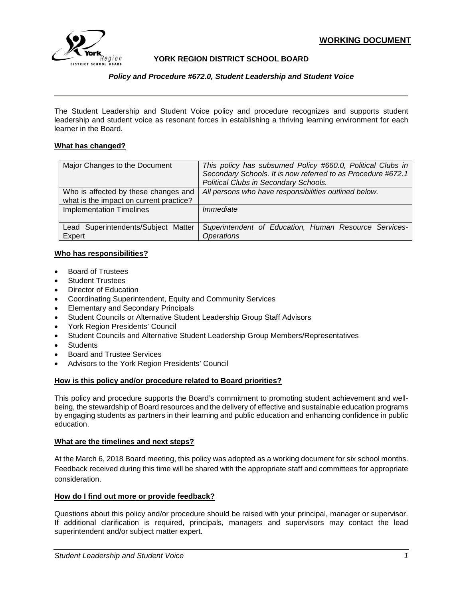

# **YORK REGION DISTRICT SCHOOL BOARD**

*Policy and Procedure #672.0, Student Leadership and Student Voice*

The Student Leadership and Student Voice policy and procedure recognizes and supports student leadership and student voice as resonant forces in establishing a thriving learning environment for each learner in the Board.

#### **What has changed?**

| Major Changes to the Document                                                   | This policy has subsumed Policy #660.0, Political Clubs in<br>Secondary Schools. It is now referred to as Procedure #672.1<br>Political Clubs in Secondary Schools. |
|---------------------------------------------------------------------------------|---------------------------------------------------------------------------------------------------------------------------------------------------------------------|
| Who is affected by these changes and<br>what is the impact on current practice? | All persons who have responsibilities outlined below.                                                                                                               |
| <b>Implementation Timelines</b>                                                 | Immediate                                                                                                                                                           |
| Lead Superintendents/Subject Matter<br>Expert                                   | Superintendent of Education, Human Resource Services-<br><b>Operations</b>                                                                                          |

## **Who has responsibilities?**

- Board of Trustees
- **Student Trustees**
- Director of Education
- Coordinating Superintendent, Equity and Community Services
- Elementary and Secondary Principals
- Student Councils or Alternative Student Leadership Group Staff Advisors
- York Region Presidents' Council
- Student Councils and Alternative Student Leadership Group Members/Representatives
- **Students**
- Board and Trustee Services
- Advisors to the York Region Presidents' Council

## **How is this policy and/or procedure related to Board priorities?**

This policy and procedure supports the Board's commitment to promoting student achievement and wellbeing, the stewardship of Board resources and the delivery of effective and sustainable education programs by engaging students as partners in their learning and public education and enhancing confidence in public education.

#### **What are the timelines and next steps?**

At the March 6, 2018 Board meeting, this policy was adopted as a working document for six school months. Feedback received during this time will be shared with the appropriate staff and committees for appropriate consideration.

## **How do I find out more or provide feedback?**

Questions about this policy and/or procedure should be raised with your principal, manager or supervisor. If additional clarification is required, principals, managers and supervisors may contact the lead superintendent and/or subject matter expert.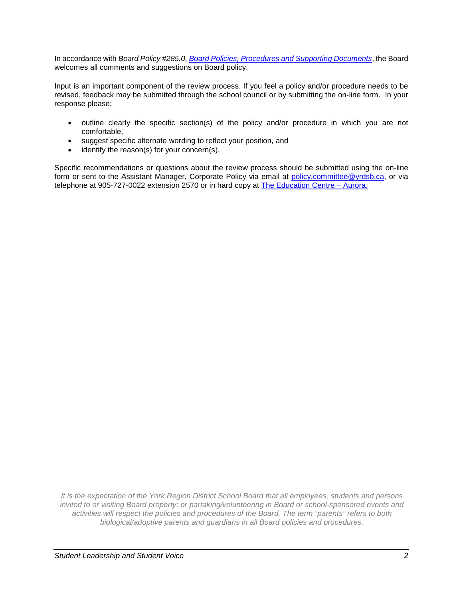In accordance with *Board Policy #285.0, [Board Policies, Procedures and Supporting Documents](http://www.yrdsb.edu.on.ca/pdfs/p&p/a/policy/285.pdf)*, the Board welcomes all comments and suggestions on Board policy.

Input is an important component of the review process. If you feel a policy and/or procedure needs to be revised, feedback may be submitted through the school council or by submitting the on-line form. In your response please;

- outline clearly the specific section(s) of the policy and/or procedure in which you are not comfortable,
- suggest specific alternate wording to reflect your position, and
- identify the reason(s) for your concern(s).

Specific recommendations or questions about the review process should be submitted using the on-line form or sent to the Assistant Manager, Corporate Policy via email at [policy.committee@yrdsb.ca,](mailto:policy.committee@yrdsb.ca) or via telephone at 905-727-0022 extension 2570 or in hard copy at [The Education Centre –](http://www.yrdsb.ca/AboutUs/Departments/Pages/default.aspx) Aurora[.](http://www.yrdsb.ca/AboutUs/Departments/Pages/default.aspx)

*It is the expectation of the York Region District School Board that all employees, students and persons invited to or visiting Board property; or partaking/volunteering in Board or school-sponsored events and activities will respect the policies and procedures of the Board. The term "parents" refers to both biological/adoptive parents and guardians in all Board policies and procedures.*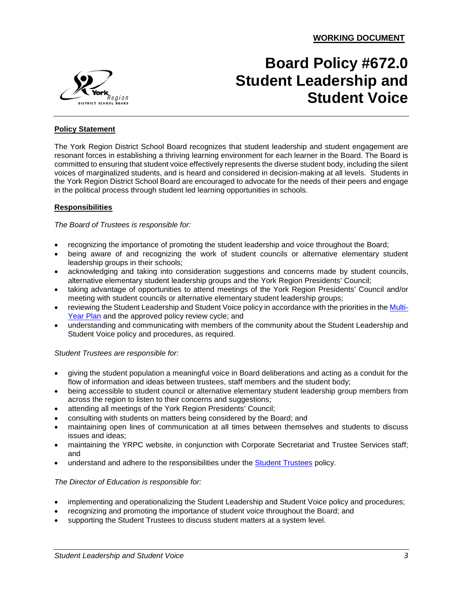

# **Board Policy #672.0 Student Leadership and Student Voice**

## **Policy Statement**

The York Region District School Board recognizes that student leadership and student engagement are resonant forces in establishing a thriving learning environment for each learner in the Board. The Board is committed to ensuring that student voice effectively represents the diverse student body, including the silent voices of marginalized students, and is heard and considered in decision-making at all levels. Students in the York Region District School Board are encouraged to advocate for the needs of their peers and engage in the political process through student led learning opportunities in schools.

## **Responsibilities**

#### *The Board of Trustees is responsible for:*

- recognizing the importance of promoting the student leadership and voice throughout the Board;
- being aware of and recognizing the work of student councils or alternative elementary student leadership groups in their schools;
- acknowledging and taking into consideration suggestions and concerns made by student councils, alternative elementary student leadership groups and the York Region Presidents' Council;
- taking advantage of opportunities to attend meetings of the York Region Presidents' Council and/or meeting with student councils or alternative elementary student leadership groups;
- reviewing the Student Leadership and Student Voice policy in accordance with the priorities in th[e Multi-](http://www.yrdsb.ca/AboutUs/BoardPlans/Pages/default.aspx)[Year Plan](http://www.yrdsb.ca/AboutUs/BoardPlans/Pages/default.aspx) and the approved policy review cycle; and
- understanding and communicating with members of the community about the Student Leadership and Student Voice policy and procedures, as required.

#### *Student Trustees are responsible for:*

- giving the student population a meaningful voice in Board deliberations and acting as a conduit for the flow of information and ideas between trustees, staff members and the student body;
- being accessible to student council or alternative elementary student leadership group members from across the region to listen to their concerns and suggestions;
- attending all meetings of the York Region Presidents' Council;
- consulting with students on matters being considered by the Board; and
- maintaining open lines of communication at all times between themselves and students to discuss issues and ideas;
- maintaining the YRPC website, in conjunction with Corporate Secretariat and Trustee Services staff; and
- understand and adhere to the responsibilities under the [Student Trustees](http://www.yrdsb.ca/boarddocs/Documents/PP-studenttrustees-221.pdf) policy.

## *The Director of Education is responsible for:*

- implementing and operationalizing the Student Leadership and Student Voice policy and procedures;
- recognizing and promoting the importance of student voice throughout the Board; and
	- supporting the Student Trustees to discuss student matters at a system level.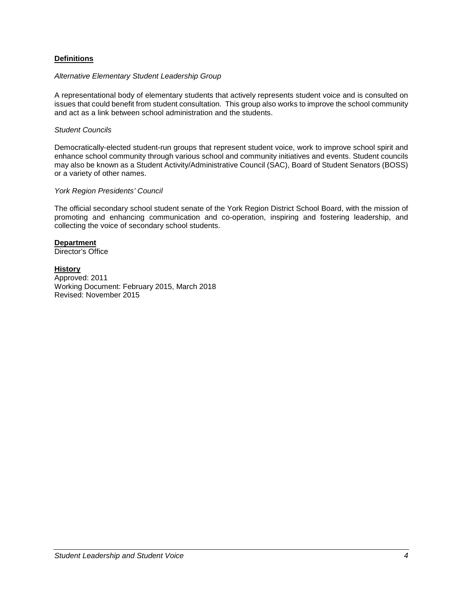## **Definitions**

#### *Alternative Elementary Student Leadership Group*

A representational body of elementary students that actively represents student voice and is consulted on issues that could benefit from student consultation. This group also works to improve the school community and act as a link between school administration and the students.

#### *Student Councils*

Democratically-elected student-run groups that represent student voice, work to improve school spirit and enhance school community through various school and community initiatives and events. Student councils may also be known as a Student Activity/Administrative Council (SAC), Board of Student Senators (BOSS) or a variety of other names.

#### *York Region Presidents' Council*

The official secondary school student senate of the York Region District School Board, with the mission of promoting and enhancing communication and co-operation, inspiring and fostering leadership, and collecting the voice of secondary school students.

# **Department**

Director's Office

## **History**

Approved: 2011 Working Document: February 2015, March 2018 Revised: November 2015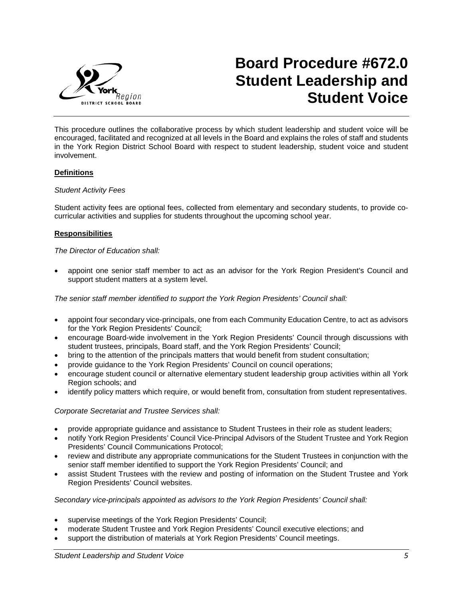

# **Board Procedure #672.0 Student Leadership and Student Voice**

This procedure outlines the collaborative process by which student leadership and student voice will be encouraged, facilitated and recognized at all levels in the Board and explains the roles of staff and students in the York Region District School Board with respect to student leadership, student voice and student involvement.

## **Definitions**

#### *Student Activity Fees*

Student activity fees are optional fees, collected from elementary and secondary students, to provide cocurricular activities and supplies for students throughout the upcoming school year.

#### **Responsibilities**

#### *The Director of Education shall:*

• appoint one senior staff member to act as an advisor for the York Region President's Council and support student matters at a system level.

*The senior staff member identified to support the York Region Presidents' Council shall:*

- appoint four secondary vice-principals, one from each Community Education Centre, to act as advisors for the York Region Presidents' Council;
- encourage Board-wide involvement in the York Region Presidents' Council through discussions with student trustees, principals, Board staff, and the York Region Presidents' Council;
- bring to the attention of the principals matters that would benefit from student consultation;
- provide guidance to the York Region Presidents' Council on council operations;
- encourage student council or alternative elementary student leadership group activities within all York Region schools; and
- identify policy matters which require, or would benefit from, consultation from student representatives.

*Corporate Secretariat and Trustee Services shall:*

- provide appropriate guidance and assistance to Student Trustees in their role as student leaders;
- notify York Region Presidents' Council Vice-Principal Advisors of the Student Trustee and York Region Presidents' Council Communications Protocol;
- review and distribute any appropriate communications for the Student Trustees in conjunction with the senior staff member identified to support the York Region Presidents' Council; and
- assist Student Trustees with the review and posting of information on the Student Trustee and York Region Presidents' Council websites.

## *Secondary vice-principals appointed as advisors to the York Region Presidents' Council shall:*

- supervise meetings of the York Region Presidents' Council;
- moderate Student Trustee and York Region Presidents' Council executive elections; and
- support the distribution of materials at York Region Presidents' Council meetings.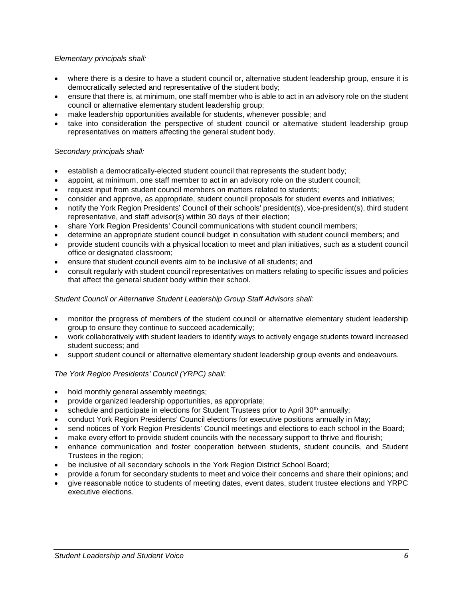## *Elementary principals shall:*

- where there is a desire to have a student council or, alternative student leadership group, ensure it is democratically selected and representative of the student body;
- ensure that there is, at minimum, one staff member who is able to act in an advisory role on the student council or alternative elementary student leadership group;
- make leadership opportunities available for students, whenever possible; and
- take into consideration the perspective of student council or alternative student leadership group representatives on matters affecting the general student body.

# *Secondary principals shall:*

- establish a democratically-elected student council that represents the student body;
- appoint, at minimum, one staff member to act in an advisory role on the student council;
- request input from student council members on matters related to students;
- consider and approve, as appropriate, student council proposals for student events and initiatives;
- notify the York Region Presidents' Council of their schools' president(s), vice-president(s), third student representative, and staff advisor(s) within 30 days of their election;
- share York Region Presidents' Council communications with student council members;
- determine an appropriate student council budget in consultation with student council members; and
- provide student councils with a physical location to meet and plan initiatives, such as a student council office or designated classroom;
- ensure that student council events aim to be inclusive of all students; and
- consult regularly with student council representatives on matters relating to specific issues and policies that affect the general student body within their school.

# *Student Council or Alternative Student Leadership Group Staff Advisors shall:*

- monitor the progress of members of the student council or alternative elementary student leadership group to ensure they continue to succeed academically;
- work collaboratively with student leaders to identify ways to actively engage students toward increased student success; and
- support student council or alternative elementary student leadership group events and endeavours.

## *The York Region Presidents' Council (YRPC) shall:*

- hold monthly general assembly meetings;
- provide organized leadership opportunities, as appropriate;
- schedule and participate in elections for Student Trustees prior to April 30<sup>th</sup> annually;
- conduct York Region Presidents' Council elections for executive positions annually in May;
- send notices of York Region Presidents' Council meetings and elections to each school in the Board;
- make every effort to provide student councils with the necessary support to thrive and flourish;
- enhance communication and foster cooperation between students, student councils, and Student Trustees in the region;
- be inclusive of all secondary schools in the York Region District School Board;
- provide a forum for secondary students to meet and voice their concerns and share their opinions; and
- give reasonable notice to students of meeting dates, event dates, student trustee elections and YRPC executive elections.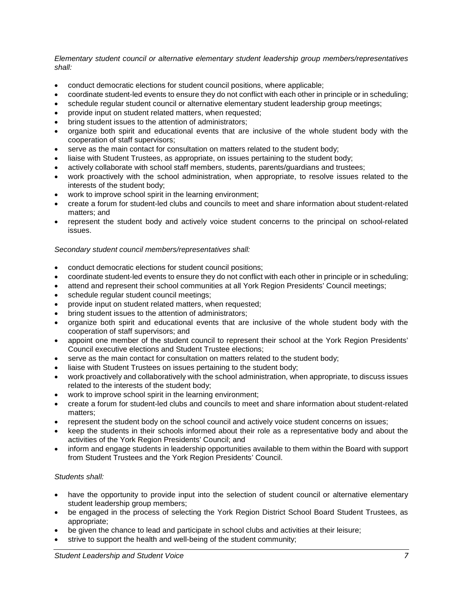*Elementary student council or alternative elementary student leadership group members/representatives shall:*

- conduct democratic elections for student council positions, where applicable;
- coordinate student-led events to ensure they do not conflict with each other in principle or in scheduling;
- schedule regular student council or alternative elementary student leadership group meetings;
- provide input on student related matters, when requested;
- bring student issues to the attention of administrators;
- organize both spirit and educational events that are inclusive of the whole student body with the cooperation of staff supervisors;
- serve as the main contact for consultation on matters related to the student body;
- liaise with Student Trustees, as appropriate, on issues pertaining to the student body;
- actively collaborate with school staff members, students, parents/guardians and trustees;
- work proactively with the school administration, when appropriate, to resolve issues related to the interests of the student body;
- work to improve school spirit in the learning environment;
- create a forum for student-led clubs and councils to meet and share information about student-related matters; and
- represent the student body and actively voice student concerns to the principal on school-related issues.

## *Secondary student council members/representatives shall:*

- conduct democratic elections for student council positions;
- coordinate student-led events to ensure they do not conflict with each other in principle or in scheduling;
- attend and represent their school communities at all York Region Presidents' Council meetings;
- schedule regular student council meetings;
- provide input on student related matters, when requested;
- bring student issues to the attention of administrators;
- organize both spirit and educational events that are inclusive of the whole student body with the cooperation of staff supervisors; and
- appoint one member of the student council to represent their school at the York Region Presidents' Council executive elections and Student Trustee elections;
- serve as the main contact for consultation on matters related to the student body;
- liaise with Student Trustees on issues pertaining to the student body;
- work proactively and collaboratively with the school administration, when appropriate, to discuss issues related to the interests of the student body;
- work to improve school spirit in the learning environment;
- create a forum for student-led clubs and councils to meet and share information about student-related matters;
- represent the student body on the school council and actively voice student concerns on issues;
- keep the students in their schools informed about their role as a representative body and about the activities of the York Region Presidents' Council; and
- inform and engage students in leadership opportunities available to them within the Board with support from Student Trustees and the York Region Presidents' Council.

## *Students shall:*

- have the opportunity to provide input into the selection of student council or alternative elementary student leadership group members;
- be engaged in the process of selecting the York Region District School Board Student Trustees, as appropriate;
- be given the chance to lead and participate in school clubs and activities at their leisure;
- strive to support the health and well-being of the student community;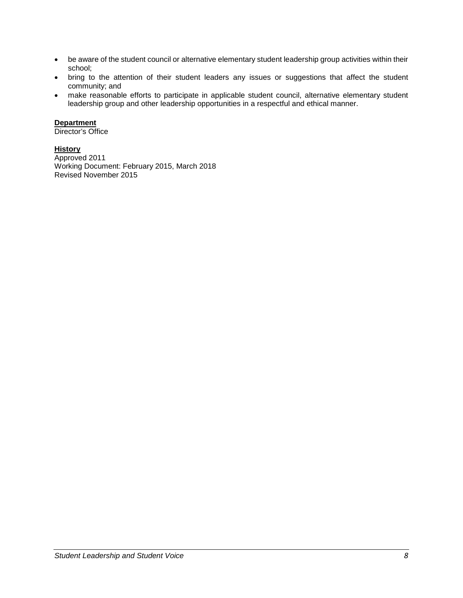- be aware of the student council or alternative elementary student leadership group activities within their school;
- bring to the attention of their student leaders any issues or suggestions that affect the student community; and
- make reasonable efforts to participate in applicable student council, alternative elementary student leadership group and other leadership opportunities in a respectful and ethical manner.

# **Department**

Director's Office

# **History**

Approved 2011 Working Document: February 2015, March 2018 Revised November 2015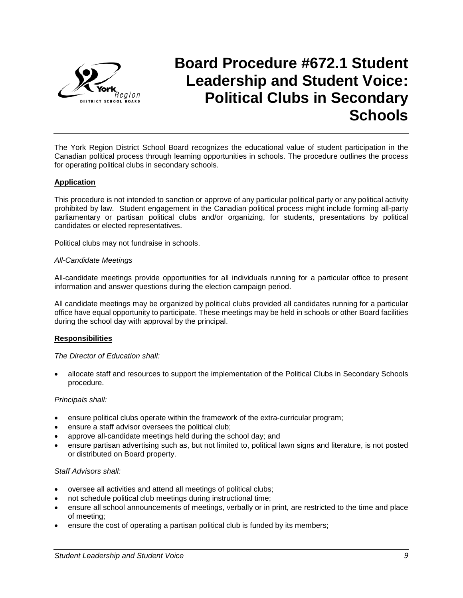

# **Board Procedure #672.1 Student Leadership and Student Voice: Political Clubs in Secondary Schools**

The York Region District School Board recognizes the educational value of student participation in the Canadian political process through learning opportunities in schools. The procedure outlines the process for operating political clubs in secondary schools.

## **Application**

This procedure is not intended to sanction or approve of any particular political party or any political activity prohibited by law. Student engagement in the Canadian political process might include forming all-party parliamentary or partisan political clubs and/or organizing, for students, presentations by political candidates or elected representatives.

Political clubs may not fundraise in schools.

#### *All-Candidate Meetings*

All-candidate meetings provide opportunities for all individuals running for a particular office to present information and answer questions during the election campaign period.

All candidate meetings may be organized by political clubs provided all candidates running for a particular office have equal opportunity to participate. These meetings may be held in schools or other Board facilities during the school day with approval by the principal.

#### **Responsibilities**

#### *The Director of Education shall:*

• allocate staff and resources to support the implementation of the Political Clubs in Secondary Schools procedure.

#### *Principals shall:*

- ensure political clubs operate within the framework of the extra-curricular program;
- ensure a staff advisor oversees the political club;
- approve all-candidate meetings held during the school day; and
- ensure partisan advertising such as, but not limited to, political lawn signs and literature, is not posted or distributed on Board property.

#### *Staff Advisors shall:*

- oversee all activities and attend all meetings of political clubs;
- not schedule political club meetings during instructional time;
- ensure all school announcements of meetings, verbally or in print, are restricted to the time and place of meeting;
- ensure the cost of operating a partisan political club is funded by its members;